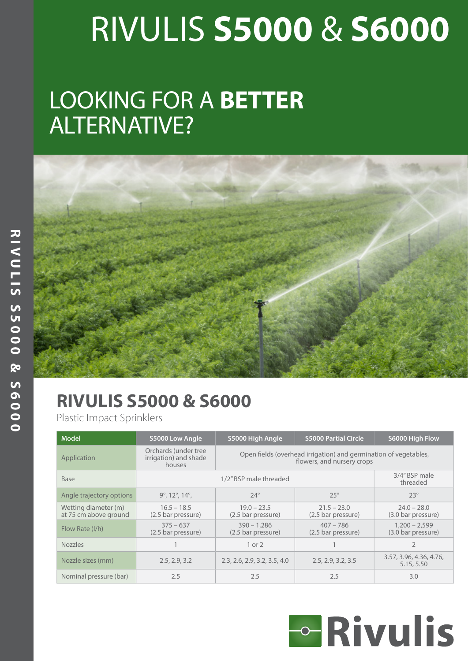# RIVULIS **S5000** & **S6000**

## LOOKING FOR A **BETTER** ALTERNATIVE?



## **RIVULIS S5000 & S6000**

Plastic Impact Sprinklers

| <b>Model</b>                                  | S5000 Low Angle                                         | S5000 High Angle                                                                               | <b>S5000 Partial Circle</b>         | S6000 High Flow                       |  |
|-----------------------------------------------|---------------------------------------------------------|------------------------------------------------------------------------------------------------|-------------------------------------|---------------------------------------|--|
| Application                                   | Orchards (under tree<br>irrigation) and shade<br>houses | Open fields (overhead irrigation) and germination of vegetables,<br>flowers, and nursery crops |                                     |                                       |  |
| Base                                          |                                                         | 1/2" BSP male threaded                                                                         | 3/4" BSP male<br>threaded           |                                       |  |
| Angle trajectory options                      | $9^{\circ}$ , 12 $^{\circ}$ , 14 $^{\circ}$ ,           | $24^\circ$                                                                                     | $25^\circ$                          | $23^\circ$                            |  |
| Wetting diameter (m)<br>at 75 cm above ground | $16.5 - 18.5$<br>(2.5 bar pressure)                     | $19.0 - 23.5$<br>(2.5 bar pressure)                                                            | $21.5 - 23.0$<br>(2.5 bar pressure) | $24.0 - 28.0$<br>(3.0 bar pressure)   |  |
| Flow Rate (I/h)                               | $375 - 637$<br>(2.5 bar pressure)                       | $390 - 1.286$<br>(2.5 bar pressure)                                                            | $407 - 786$<br>(2.5 bar pressure)   | $1,200 - 2,599$<br>(3.0 bar pressure) |  |
| <b>Nozzles</b>                                |                                                         | 1 or 2                                                                                         |                                     |                                       |  |
| Nozzle sizes (mm)                             | 2.5, 2.9, 3.2                                           | 2.3, 2.6, 2.9, 3.2, 3.5, 4.0                                                                   | 2.5, 2.9, 3.2, 3.5                  | 3.57, 3.96, 4.36, 4.76,<br>5.15, 5.50 |  |
| Nominal pressure (bar)                        | 2.5                                                     | 2.5                                                                                            | 2.5                                 | 3.0                                   |  |

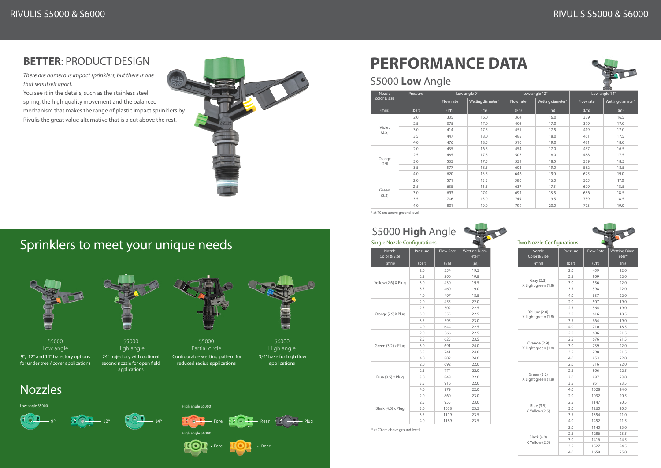### **BETTER**: PRODUCT DESIGN

*There are numerous impact sprinklers, but there is one that sets itself apart.*

You see it in the details, such as the stainless steel spring, the high quality movement and the balanced mechanism that makes the range of plastic impact sprinklers by Rivulis the great value alternative that is a cut above the rest.



#### RIVULIS S5000 & S6000 RIVULIS S5000 & S6000









# **PERFORMANCE DATA**

### S5000 **Low** Angle

\* at 70 cm above ground level

| <b>Nozzle</b><br>Pressure |       | Low angle 9° |                   | Low angle 12° |                   | Low angle 14°    |                   |
|---------------------------|-------|--------------|-------------------|---------------|-------------------|------------------|-------------------|
| color & size              |       | Flow rate    | Wetting diameter* | Flow rate     | Wetting diameter* | <b>Flow rate</b> | Wetting diameter* |
| (mm)                      | (bar) | (I/h)        | (m)               | (I/h)         | (m)               | (I/h)            | (m)               |
|                           | 2.0   | 335          | 16.0              | 364           | 16.0              | 339              | 16.5              |
|                           | 2.5   | 375          | 17.0              | 408           | 17.0              | 379              | 17.0              |
| Violet<br>(2.5)           | 3.0   | 414          | 17.5              | 451           | 17.5              | 419              | 17.0              |
|                           | 3.5   | 447          | 18.0              | 485           | 18.0              | 451              | 17.5              |
|                           | 4.0   | 476          | 18.5              | 516           | 19.0              | 481              | 18.0              |
|                           | 2.0   | 435          | 16.5              | 454           | 17.0              | 437              | 16.5              |
| Orange<br>(2.9)           | 2.5   | 485          | 17.5              | 507           | 18.0              | 488              | 17.5              |
|                           | 3.0   | 535          | 17.5              | 559           | 18.5              | 539              | 18.5              |
|                           | 3.5   | 577          | 18.5              | 603           | 19.0              | 582              | 18.5              |
|                           | 4.0   | 620          | 18.5              | 646           | 19.0              | 625              | 19.0              |
| Green<br>(3.2)            | 2.0   | 571          | 15.5              | 580           | 16.0              | 565              | 17.0              |
|                           | 2.5   | 635          | 16.5              | 637           | 17.5              | 629              | 18.5              |
|                           | 3.0   | 693          | 17.0              | 693           | 18.5              | 686              | 18.5              |
|                           | 3.5   | 746          | 18.0              | 745           | 19.5              | 739              | 18.5              |
|                           | 4.0   | 801          | 19.0              | 799           | 20.0              | 793              | 19.0              |









## Sprinklers to meet your unique needs

Nozzles



S5000 Low angle 9°, 12° and 14° trajectory options for under tree / cover applications



S5000 High angle 24° trajectory with optional second nozzle for open field applications



S5000 Partial circle Configurable wetting pattern for reduced radius applications



S6000 High angle 3/4" base for high flow applications

| ,                      |          |                  |                               |
|------------------------|----------|------------------|-------------------------------|
| Nozzle<br>Color & Size | Pressure | <b>Flow Rate</b> | <b>Wetting Diam-</b><br>eter* |
| (mm)                   | (bar)    | (I/h)            | (m)                           |
|                        | 2.0      | 354              | 19.5                          |
|                        | 2.5      | 390              | 19.5                          |
| Yellow (2.6) X Plug    | 3.0      | 430              | 19.5                          |
|                        | 3.5      | 460              | 19.0                          |
|                        | 4.0      | 497              | 18.5                          |
|                        | 2.0      | 455              | 22.0                          |
|                        | 2.5      | 502              | 22.5                          |
| Orange (2.9) X Plug    | 3.0      | 555              | 22.5                          |
|                        | 3.5      | 595              | 23.0                          |
|                        | 4.0      | 644              | 22.5                          |
|                        | 2.0      | 566              | 22.5                          |
|                        | 2.5      | 625              | 23.5                          |
| Green (3.2) x Plug     | 3.0      | 691              | 24.0                          |
|                        | 3.5      | 741              | 24.0                          |
|                        | 4.0      | 802              | 24.0                          |
|                        | 2.0      | 692              | 22.0                          |
|                        | 2.5      | 774              | 22.0                          |
| Blue (3.5) x Plug      | 3.0      | 848              | 22.0                          |
|                        | 3.5      | 916              | 22.0                          |
|                        | 4.0      | 979              | 22.0                          |
|                        | 2.0      | 860              | 23.0                          |
|                        | 2.5      | 955              | 23.0                          |
| Black (4.0) x Plug     | 3.0      | 1038             | 23.5                          |
|                        | 3.5      | 1119             | 23.5                          |
|                        | 4.0      | 1189             | 23.5                          |

| <b>Nozzle</b><br>Color & Size        | Pressure | <b>Flow Rate</b> | <b>Wetting Diam-</b><br>eter* |
|--------------------------------------|----------|------------------|-------------------------------|
| (mm)                                 | (bar)    | (I/h)            | (m)                           |
|                                      | 2.0      | 459              | 22.0                          |
|                                      | 2.5      | 509              | 22.0                          |
| Gray (2.3)<br>X Light green (1.8)    | 3.0      | 556              | 22.0                          |
|                                      | 3.5      | 598              | 22.0                          |
|                                      | 4.0      | 637              | 22.0                          |
|                                      | 2.0      | 507              | 19.0                          |
|                                      | 2.5      | 564              | 19.0                          |
| Yellow (2.6)<br>X Light green (1.8)  | 3.0      | 616              | 18.5                          |
|                                      | 3.5      | 664              | 19.0                          |
|                                      | 4.0      | 710              | 18.5                          |
|                                      | 2.0      | 606              | 21.5                          |
|                                      | 2.5      | 676              | 21.5                          |
| Orange (2.9)<br>X Light green (1.8)  | 3.0      | 739              | 22.0                          |
|                                      | 3.5      | 798              | 21.5                          |
|                                      | 4.0      | 853              | 22.0                          |
|                                      | 2.0      | 716              | 22.0                          |
|                                      | 2.5      | 806              | 22.5                          |
| Green (3.2)<br>X Light green (1.8)   | 3.0      | 887              | 23.0                          |
|                                      | 3.5      | 951              | 23.5                          |
|                                      | 4.0      | 1028             | 24.0                          |
|                                      | 2.0      | 1032             | 20.5                          |
|                                      | 2.5      | 1147             | 20.5                          |
| Blue (3.5)<br>X Yellow (2.5)         | 3.0      | 1260             | 20.5                          |
|                                      | 3.5      | 1354             | 21.0                          |
|                                      | 4.0      | 1452             | 21.5                          |
|                                      | 2.0      | 1140             | 23.0                          |
|                                      | 2.5      | 1286             | 23.5                          |
| <b>Black (4.0)</b><br>X Yellow (2.5) | 3.0      | 1416             | 24.5                          |
|                                      | 3.5      | 1527             | 24.5                          |
|                                      | 4.0      | 1658             | 25.0                          |

Single Nozzle Configurations

### S5000 **High** Angle

#### Two Nozzle Configurations

\* at 70 cm above ground level